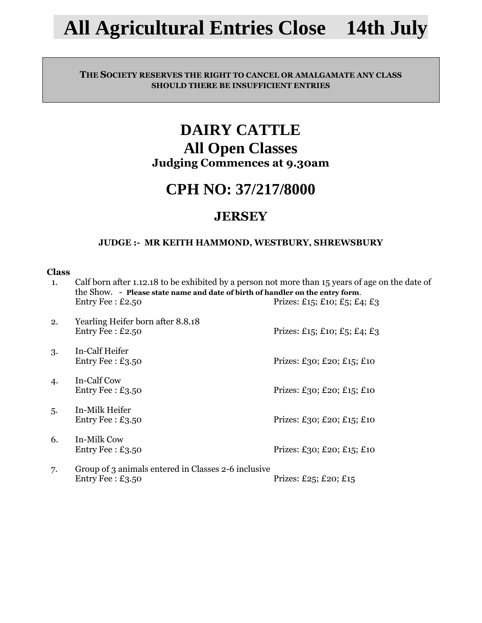# **All Agricultural Entries Close 14th July**

### **THE SOCIETY RESERVES THE RIGHT TO CANCEL OR AMALGAMATE ANY CLASS SHOULD THERE BE INSUFFICIENT ENTRIES**

## **DAIRY CATTLE All Open Classes Judging Commences at 9.30am**

## **CPH NO: 37/217/8000**

## **JERSEY**

### **JUDGE :- MR KEITH HAMMOND, WESTBURY, SHREWSBURY**

| 1. | Calf born after 1.12.18 to be exhibited by a person not more than 15 years of age on the date of<br>the Show. - Please state name and date of birth of handler on the entry form. |                              |  |
|----|-----------------------------------------------------------------------------------------------------------------------------------------------------------------------------------|------------------------------|--|
|    | Entry Fee: $£2.50$                                                                                                                                                                | Prizes: £15; £10; £5; £4; £3 |  |
| 2. | Yearling Heifer born after 8.8.18<br>Entry Fee: $£2.50$                                                                                                                           | Prizes: £15; £10; £5; £4; £3 |  |
| 3. | In-Calf Heifer<br>Entry Fee: $£3.50$                                                                                                                                              | Prizes: £30; £20; £15; £10   |  |
| 4. | In-Calf Cow<br>Entry Fee: $£3.50$                                                                                                                                                 | Prizes: £30; £20; £15; £10   |  |
| 5. | In-Milk Heifer<br>Entry Fee: $£3.50$                                                                                                                                              | Prizes: £30; £20; £15; £10   |  |
| 6. | In-Milk Cow<br>Entry Fee: $£3.50$                                                                                                                                                 | Prizes: £30; £20; £15; £10   |  |
| 7. | Group of 3 animals entered in Classes 2-6 inclusive<br>Entry Fee: $£3.50$                                                                                                         | Prizes: £25; £20; £15        |  |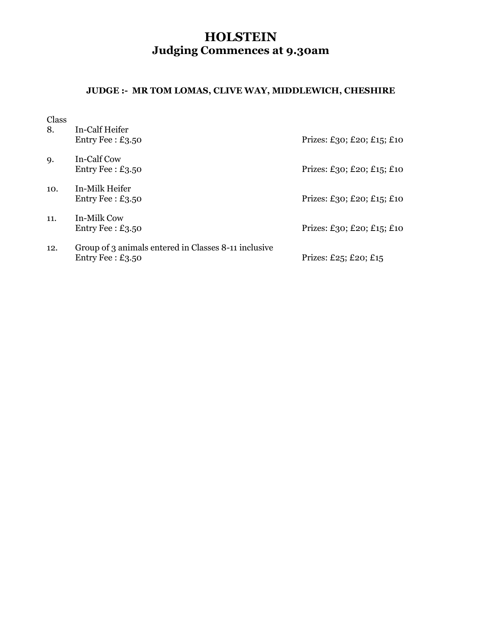## **HOLSTEIN Judging Commences at 9.30am**

### **JUDGE :- MR TOM LOMAS, CLIVE WAY, MIDDLEWICH, CHESHIRE**

| 8.  | In-Calf Heifer<br>Entry Fee: $£3.50$                                       | Prizes: £30; £20; £15; £10 |
|-----|----------------------------------------------------------------------------|----------------------------|
| 9.  | In-Calf Cow<br>Entry Fee: $£3.50$                                          | Prizes: £30; £20; £15; £10 |
| 10. | In-Milk Heifer<br>Entry Fee: $£3.50$                                       | Prizes: £30; £20; £15; £10 |
| 11. | In-Milk Cow<br>Entry Fee: $£3.50$                                          | Prizes: £30; £20; £15; £10 |
| 12. | Group of 3 animals entered in Classes 8-11 inclusive<br>Entry Fee: $£3.50$ | Prizes: £25; £20; £15      |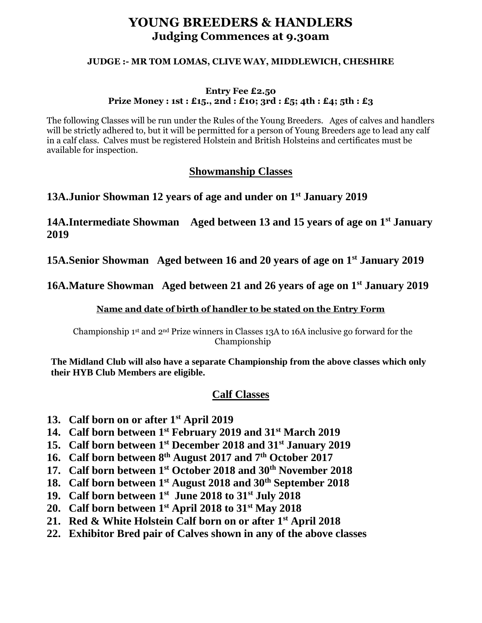### **YOUNG BREEDERS & HANDLERS Judging Commences at 9.30am**

#### **JUDGE :- MR TOM LOMAS, CLIVE WAY, MIDDLEWICH, CHESHIRE**

#### **Entry Fee £2.50 Prize Money : 1st : £15., 2nd : £10; 3rd : £5; 4th : £4; 5th : £3**

The following Classes will be run under the Rules of the Young Breeders. Ages of calves and handlers will be strictly adhered to, but it will be permitted for a person of Young Breeders age to lead any calf in a calf class. Calves must be registered Holstein and British Holsteins and certificates must be available for inspection.

### **Showmanship Classes**

### **13A.Junior Showman 12 years of age and under on 1st January 2019**

**14A.Intermediate Showman Aged between 13 and 15 years of age on 1st January 2019**

**15A.Senior Showman Aged between 16 and 20 years of age on 1st January 2019**

**16A.Mature Showman Aged between 21 and 26 years of age on 1st January 2019**

### **Name and date of birth of handler to be stated on the Entry Form**

Championship  $1^{st}$  and  $2^{nd}$  Prize winners in Classes 13A to 16A inclusive go forward for the Championship

**The Midland Club will also have a separate Championship from the above classes which only their HYB Club Members are eligible.**

### **Calf Classes**

- **13. Calf born on or after 1st April 2019**
- **14. Calf born between 1 st February 2019 and 31st March 2019**
- **15. Calf born between 1st December 2018 and 31st January 2019**
- **16. Calf born between 8th August 2017 and 7th October 2017**
- **17. Calf born between 1st October 2018 and 30th November 2018**
- **18. Calf born between 1st August 2018 and 30th September 2018**
- **19. Calf born between 1st June 2018 to 31st July 2018**
- **20. Calf born between 1st April 2018 to 31st May 2018**
- **21. Red & White Holstein Calf born on or after 1st April 2018**
- **22. Exhibitor Bred pair of Calves shown in any of the above classes**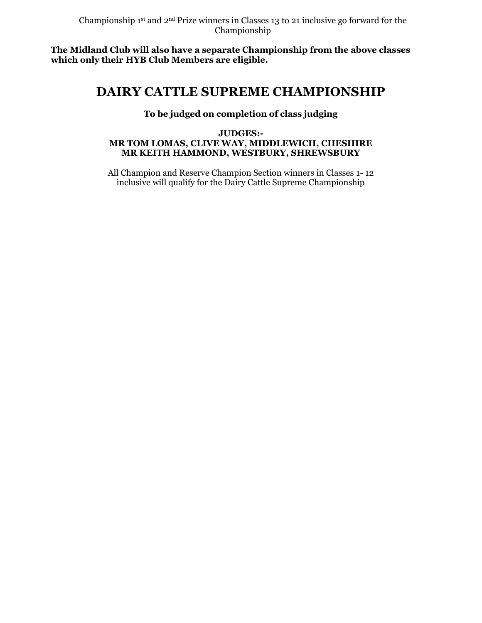**The Midland Club will also have a separate Championship from the above classes which only their HYB Club Members are eligible.**

## **DAIRY CATTLE SUPREME CHAMPIONSHIP**

### **To be judged on completion of class judging**

### **JUDGES:- MR TOM LOMAS, CLIVE WAY, MIDDLEWICH, CHESHIRE MR KEITH HAMMOND, WESTBURY, SHREWSBURY**

All Champion and Reserve Champion Section winners in Classes 1- 12 inclusive will qualify for the Dairy Cattle Supreme Championship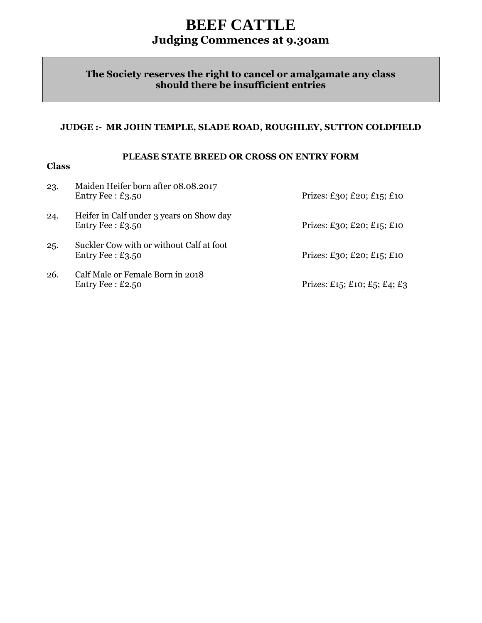## **BEEF CATTLE Judging Commences at 9.30am**

### **The Society reserves the right to cancel or amalgamate any class should there be insufficient entries**

### **JUDGE :- MR JOHN TEMPLE, SLADE ROAD, ROUGHLEY, SUTTON COLDFIELD**

### **PLEASE STATE BREED OR CROSS ON ENTRY FORM**

| 23. | Maiden Heifer born after 08.08.2017<br>Entry Fee: $£3.50$      | Prizes: £30; £20; £15; £10   |
|-----|----------------------------------------------------------------|------------------------------|
| 24. | Heifer in Calf under 3 years on Show day<br>Entry Fee: $£3.50$ | Prizes: £30; £20; £15; £10   |
| 25. | Suckler Cow with or without Calf at foot<br>Entry Fee: $£3.50$ | Prizes: £30; £20; £15; £10   |
| 26. | Calf Male or Female Born in 2018<br>Entry Fee: $£2.50$         | Prizes: £15; £10; £5; £4; £3 |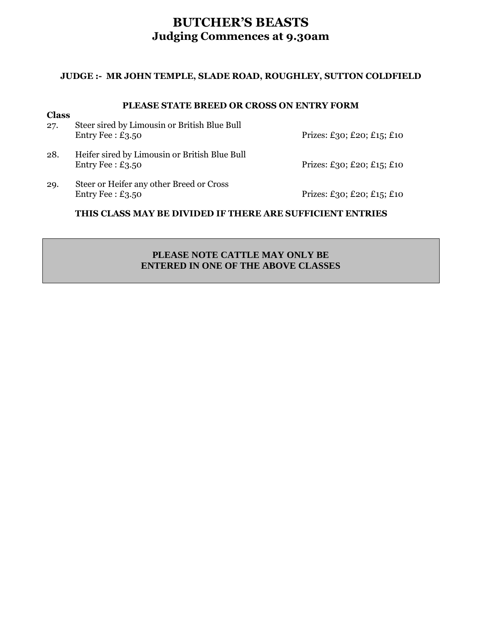### **BUTCHER'S BEASTS Judging Commences at 9.30am**

### **JUDGE :- MR JOHN TEMPLE, SLADE ROAD, ROUGHLEY, SUTTON COLDFIELD**

### **PLEASE STATE BREED OR CROSS ON ENTRY FORM**

| <b>Class</b><br>27. | Steer sired by Limousin or British Blue Bull<br>Entry Fee: $£3.50$  | Prizes: £30; £20; £15; £10 |
|---------------------|---------------------------------------------------------------------|----------------------------|
| 28.                 | Heifer sired by Limousin or British Blue Bull<br>Entry Fee: $£3.50$ | Prizes: £30; £20; £15; £10 |
| 29.                 | Steer or Heifer any other Breed or Cross<br>Entry Fee: $£3.50$      | Prizes: £30; £20; £15; £10 |

### **THIS CLASS MAY BE DIVIDED IF THERE ARE SUFFICIENT ENTRIES**

### **PLEASE NOTE CATTLE MAY ONLY BE ENTERED IN ONE OF THE ABOVE CLASSES**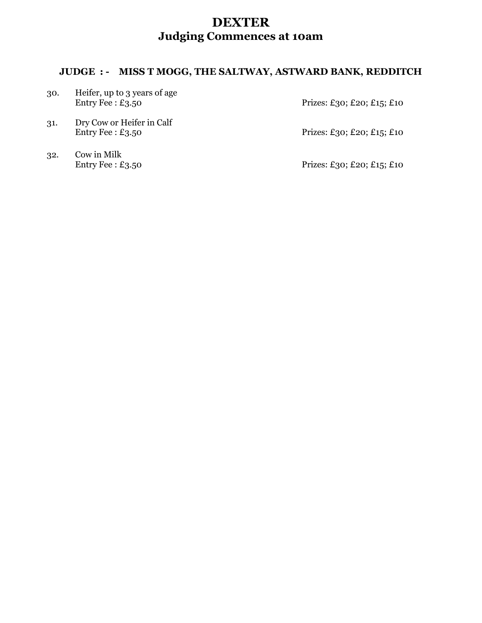## **DEXTER Judging Commences at 10am**

### **JUDGE : - MISS T MOGG, THE SALTWAY, ASTWARD BANK, REDDITCH**

| 30. | Heifer, up to 3 years of age<br>Entry Fee: $£3.50$ | Prizes: £30; £20; £15; £10 |
|-----|----------------------------------------------------|----------------------------|
| 31. | Dry Cow or Heifer in Calf<br>Entry Fee: $£3.50$    | Prizes: £30; £20; £15; £10 |
|     | $\sim$ $\sim$ $\sim$ $\sim$ $\sim$ $\sim$ $\sim$   |                            |

32. Cow in Milk<br>Entry Fee :  $\pounds$ 3.50

Prizes: £30; £20; £15; £10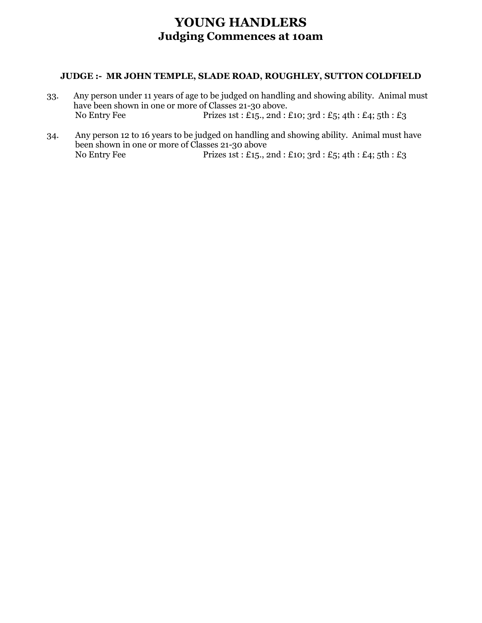### **YOUNG HANDLERS Judging Commences at 10am**

### **JUDGE :- MR JOHN TEMPLE, SLADE ROAD, ROUGHLEY, SUTTON COLDFIELD**

- 33. Any person under 11 years of age to be judged on handling and showing ability. Animal must have been shown in one or more of Classes 21-30 above. No Entry Fee Prizes 1st : £15., 2nd : £10; 3rd : £5; 4th : £4; 5th : £3
- 34. Any person 12 to 16 years to be judged on handling and showing ability. Animal must have been shown in one or more of Classes 21-30 above No Entry Fee Prizes 1st : £15., 2nd : £10; 3rd : £5; 4th : £4; 5th : £3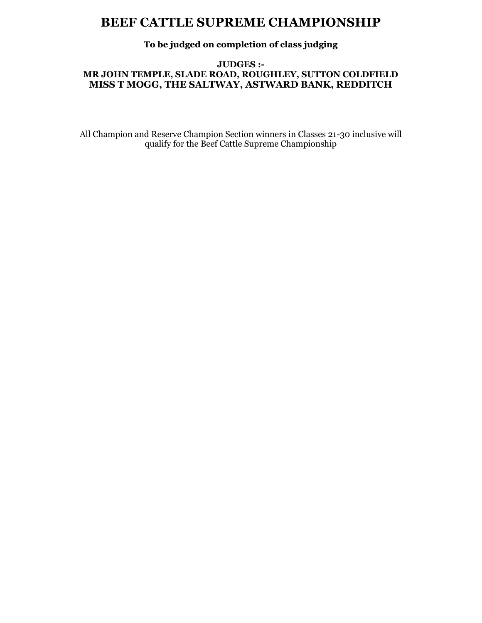### **BEEF CATTLE SUPREME CHAMPIONSHIP**

### **To be judged on completion of class judging**

### **JUDGES :-**

### **MR JOHN TEMPLE, SLADE ROAD, ROUGHLEY, SUTTON COLDFIELD MISS T MOGG, THE SALTWAY, ASTWARD BANK, REDDITCH**

All Champion and Reserve Champion Section winners in Classes 21-30 inclusive will qualify for the Beef Cattle Supreme Championship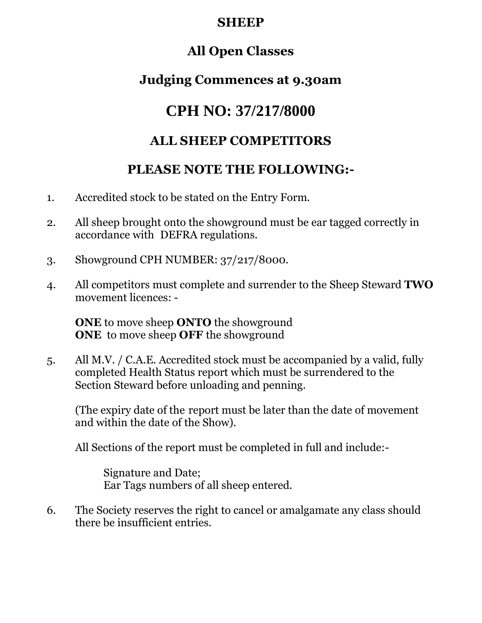## **SHEEP**

## **All Open Classes**

## **Judging Commences at 9.30am**

## **CPH NO: 37/217/8000**

## **ALL SHEEP COMPETITORS**

## **PLEASE NOTE THE FOLLOWING:-**

- 1. Accredited stock to be stated on the Entry Form.
- 2. All sheep brought onto the showground must be ear tagged correctly in accordance with DEFRA regulations.
- 3. Showground CPH NUMBER: 37/217/8000.
- 4. All competitors must complete and surrender to the Sheep Steward **TWO** movement licences: -

**ONE** to move sheep **ONTO** the showground **ONE** to move sheep **OFF** the showground

5. All M.V. / C.A.E. Accredited stock must be accompanied by a valid, fully completed Health Status report which must be surrendered to the Section Steward before unloading and penning.

(The expiry date of the report must be later than the date of movement and within the date of the Show).

All Sections of the report must be completed in full and include:-

Signature and Date; Ear Tags numbers of all sheep entered.

6. The Society reserves the right to cancel or amalgamate any class should there be insufficient entries.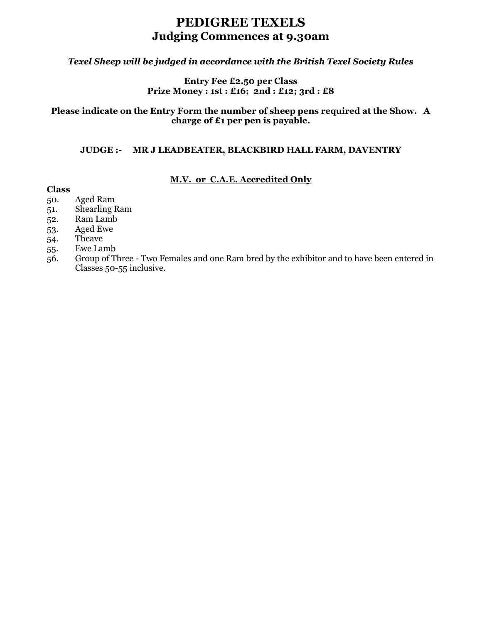### **PEDIGREE TEXELS Judging Commences at 9.30am**

### *Texel Sheep will be judged in accordance with the British Texel Society Rules*

### **Entry Fee £2.50 per Class Prize Money : 1st : £16; 2nd : £12; 3rd : £8**

### **Please indicate on the Entry Form the number of sheep pens required at the Show. A charge of £1 per pen is payable.**

#### **JUDGE :- MR J LEADBEATER, BLACKBIRD HALL FARM, DAVENTRY**

### **M.V. or C.A.E. Accredited Only**

- 50. Aged Ram
- 51. Shearling Ram
- 52. Ram Lamb
- 53. Aged Ewe
- 54. Theave
- 55. Ewe Lamb
- 56. Group of Three Two Females and one Ram bred by the exhibitor and to have been entered in Classes 50-55 inclusive.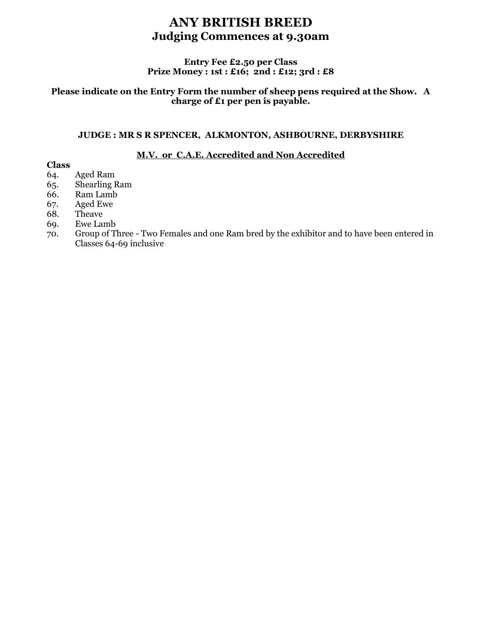### **ANY BRITISH BREED Judging Commences at 9.30am**

### **Entry Fee £2.50 per Class Prize Money : 1st : £16; 2nd : £12; 3rd : £8**

### **Please indicate on the Entry Form the number of sheep pens required at the Show. A charge of £1 per pen is payable.**

### **JUDGE : MR S R SPENCER, ALKMONTON, ASHBOURNE, DERBYSHIRE**

### **M.V. or C.A.E. Accredited and Non Accredited**

- 64. Aged Ram
- 65. Shearling Ram
- 66. Ram Lamb
- 67. Aged Ewe
- 68. Theave
- 69. Ewe Lamb
- 70. Group of Three Two Females and one Ram bred by the exhibitor and to have been entered in Classes 64-69 inclusive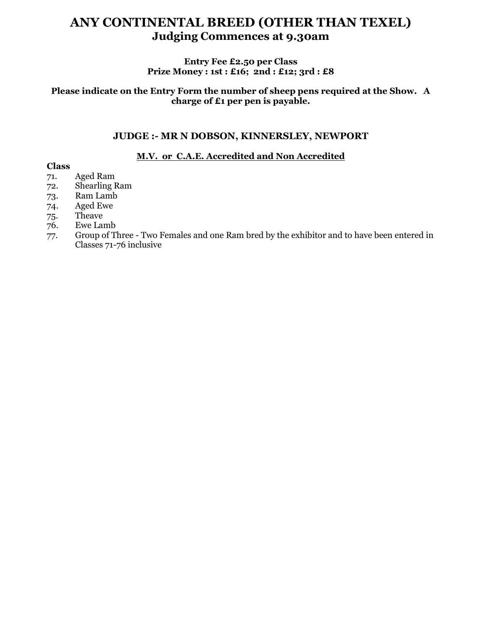## **ANY CONTINENTAL BREED (OTHER THAN TEXEL) Judging Commences at 9.30am**

### **Entry Fee £2.50 per Class Prize Money : 1st : £16; 2nd : £12; 3rd : £8**

### **Please indicate on the Entry Form the number of sheep pens required at the Show. A charge of £1 per pen is payable.**

### **JUDGE :- MR N DOBSON, KINNERSLEY, NEWPORT**

### **M.V. or C.A.E. Accredited and Non Accredited**

- 71. Aged Ram
- 72. Shearling Ram
- 73. Ram Lamb
- 74. Aged Ewe
- 75. Theave
- 76. Ewe Lamb
- 77. Group of Three Two Females and one Ram bred by the exhibitor and to have been entered in Classes 71-76 inclusive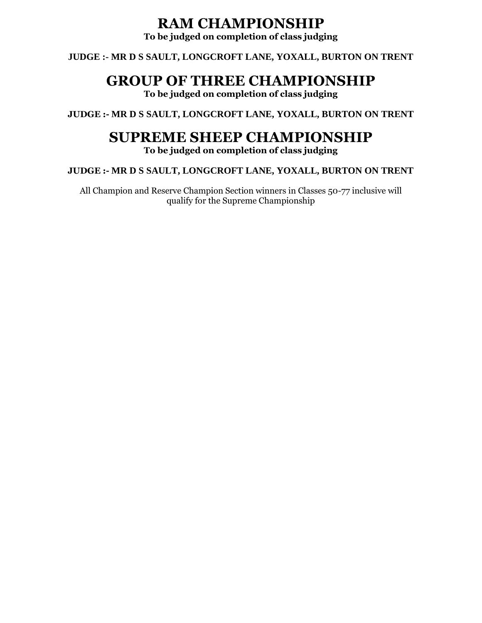## **RAM CHAMPIONSHIP**

**To be judged on completion of class judging**

**JUDGE :- MR D S SAULT, LONGCROFT LANE, YOXALL, BURTON ON TRENT**

## **GROUP OF THREE CHAMPIONSHIP**

**To be judged on completion of class judging**

**JUDGE :- MR D S SAULT, LONGCROFT LANE, YOXALL, BURTON ON TRENT**

## **SUPREME SHEEP CHAMPIONSHIP**

**To be judged on completion of class judging**

**JUDGE :- MR D S SAULT, LONGCROFT LANE, YOXALL, BURTON ON TRENT**

All Champion and Reserve Champion Section winners in Classes 50-77 inclusive will qualify for the Supreme Championship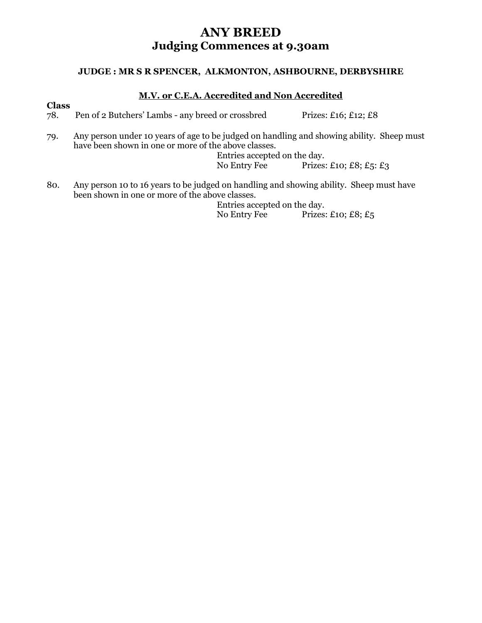### **ANY BREED Judging Commences at 9.30am**

### **JUDGE : MR S R SPENCER, ALKMONTON, ASHBOURNE, DERBYSHIRE**

### **M.V. or C.E.A. Accredited and Non Accredited**

**Class**

78. Pen of 2 Butchers' Lambs - any breed or crossbred Prizes: £16; £12; £8

79. Any person under 10 years of age to be judged on handling and showing ability. Sheep must have been shown in one or more of the above classes.

Entries accepted on the day.<br>No Entry Fee Prizes: Prizes: £10; £8;  $£5$ : £3

80. Any person 10 to 16 years to be judged on handling and showing ability. Sheep must have been shown in one or more of the above classes.

Entries accepted on the day. No Entry Fee Prizes: £10; £8; £5